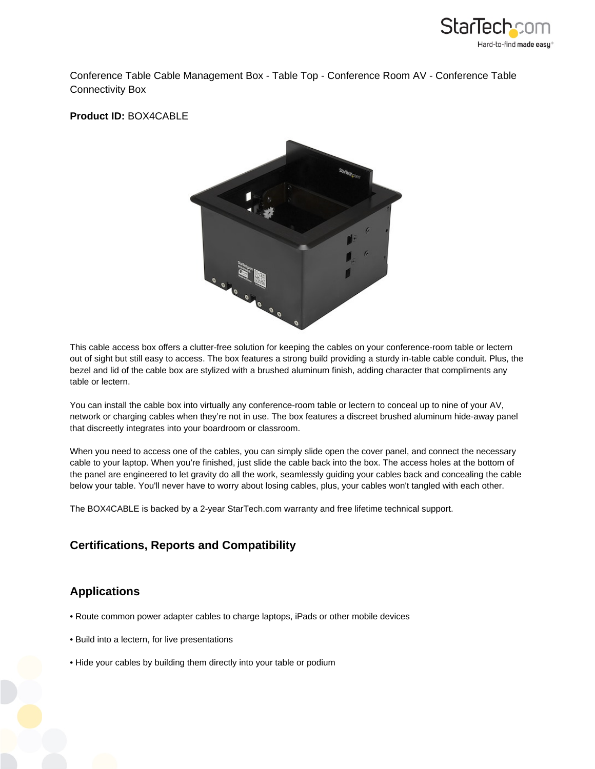

Conference Table Cable Management Box - Table Top - Conference Room AV - Conference Table Connectivity Box

**Product ID:** BOX4CABLE



This cable access box offers a clutter-free solution for keeping the cables on your conference-room table or lectern out of sight but still easy to access. The box features a strong build providing a sturdy in-table cable conduit. Plus, the bezel and lid of the cable box are stylized with a brushed aluminum finish, adding character that compliments any table or lectern.

You can install the cable box into virtually any conference-room table or lectern to conceal up to nine of your AV, network or charging cables when they're not in use. The box features a discreet brushed aluminum hide-away panel that discreetly integrates into your boardroom or classroom.

When you need to access one of the cables, you can simply slide open the cover panel, and connect the necessary cable to your laptop. When you're finished, just slide the cable back into the box. The access holes at the bottom of the panel are engineered to let gravity do all the work, seamlessly guiding your cables back and concealing the cable below your table. You'll never have to worry about losing cables, plus, your cables won't tangled with each other.

The BOX4CABLE is backed by a 2-year StarTech.com warranty and free lifetime technical support.

## **Certifications, Reports and Compatibility**

## **Applications**

- Route common power adapter cables to charge laptops, iPads or other mobile devices
- Build into a lectern, for live presentations
- Hide your cables by building them directly into your table or podium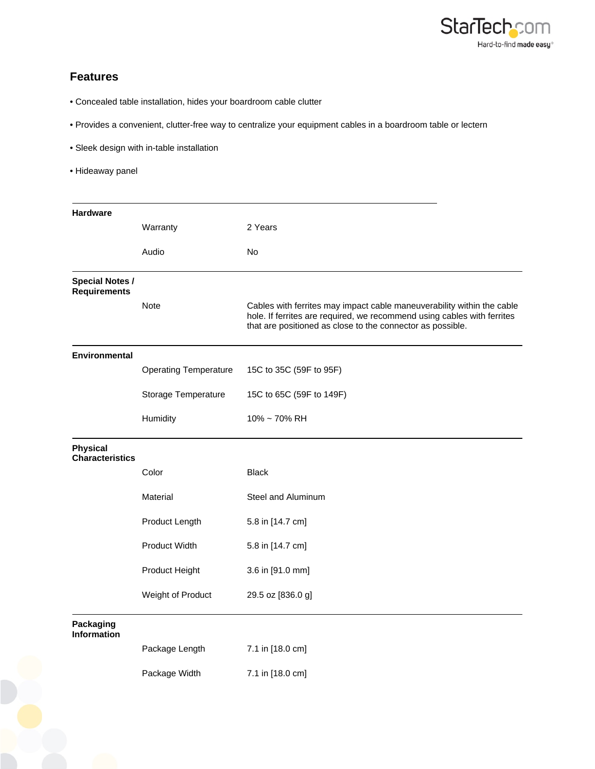

## **Features**

- Concealed table installation, hides your boardroom cable clutter
- Provides a convenient, clutter-free way to centralize your equipment cables in a boardroom table or lectern
- Sleek design with in-table installation
- Hideaway panel

| <b>Hardware</b>                               |                              |                                                                                                                                                                                                                 |
|-----------------------------------------------|------------------------------|-----------------------------------------------------------------------------------------------------------------------------------------------------------------------------------------------------------------|
|                                               | Warranty                     | 2 Years                                                                                                                                                                                                         |
|                                               | Audio                        | No                                                                                                                                                                                                              |
|                                               |                              |                                                                                                                                                                                                                 |
| <b>Special Notes /</b><br><b>Requirements</b> |                              |                                                                                                                                                                                                                 |
|                                               | <b>Note</b>                  | Cables with ferrites may impact cable maneuverability within the cable<br>hole. If ferrites are required, we recommend using cables with ferrites<br>that are positioned as close to the connector as possible. |
| <b>Environmental</b>                          |                              |                                                                                                                                                                                                                 |
|                                               | <b>Operating Temperature</b> | 15C to 35C (59F to 95F)                                                                                                                                                                                         |
|                                               | Storage Temperature          | 15C to 65C (59F to 149F)                                                                                                                                                                                        |
|                                               | Humidity                     | 10% ~ 70% RH                                                                                                                                                                                                    |
| <b>Physical</b><br><b>Characteristics</b>     |                              |                                                                                                                                                                                                                 |
|                                               | Color                        | <b>Black</b>                                                                                                                                                                                                    |
|                                               | Material                     | Steel and Aluminum                                                                                                                                                                                              |
|                                               | Product Length               | 5.8 in [14.7 cm]                                                                                                                                                                                                |
|                                               | <b>Product Width</b>         | 5.8 in [14.7 cm]                                                                                                                                                                                                |
|                                               | Product Height               | 3.6 in [91.0 mm]                                                                                                                                                                                                |
|                                               | Weight of Product            | 29.5 oz [836.0 g]                                                                                                                                                                                               |
| <b>Packaging</b><br><b>Information</b>        |                              |                                                                                                                                                                                                                 |
|                                               | Package Length               | 7.1 in [18.0 cm]                                                                                                                                                                                                |
|                                               | Package Width                | 7.1 in [18.0 cm]                                                                                                                                                                                                |